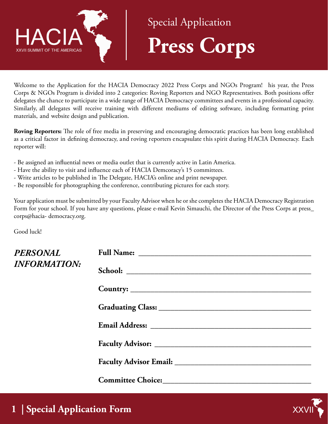

## Special Application **Press Corps**

Welcome to the Application for the HACIA Democracy 2022 Press Corps and NGOs Program! his year, the Press Corps & NGOs Program is divided into 2 categories: Roving Reporters and NGO Representatives. Both positions offer delegates the chance to participate in a wide range of HACIA Democracy committees and events in a professional capacity. Similarly, all delegates will receive training with different mediums of editing software, including formatting print materials, and website design and publication.

**Roving Reporters:** The role of free media in preserving and encouraging democratic practices has been long established as a critical factor in defining democracy, and roving reporters encapsulate this spirit during HACIA Democracy. Each reporter will:

- Be assigned an influential news or media outlet that is currently active in Latin America.
- Have the ability to visit and influence each of HACIA Demcoracy's 15 committees.
- Write articles to be published in The Delegate, HACIA's online and print newspaper.
- Be responsible for photographing the conference, contributing pictures for each story.

Your application must be submitted by your Faculty Advisor when he or she completes the HACIA Democracy Registration Form for your school. If you have any questions, please e-mail Kevin Simauchi, the Director of the Press Corps at press\_ corps@hacia- democracy.org.

Good luck!

| PERSONAL<br>INFORMATION: |                                            |
|--------------------------|--------------------------------------------|
|                          | School:                                    |
|                          |                                            |
|                          |                                            |
|                          |                                            |
|                          |                                            |
|                          |                                            |
|                          | Committee Choice: <u>Committee Choice:</u> |

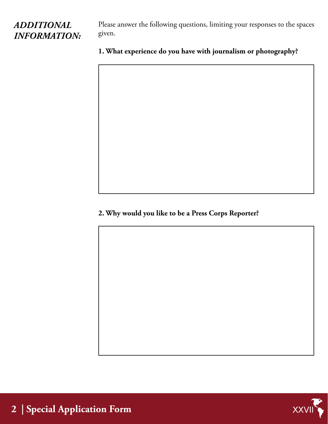## *ADDITIONAL INFORMATION:*

Please answer the following questions, limiting your responses to the spaces given.

## **1. What experience do you have with journalism or photography?**

**2. Why would you like to be a Press Corps Reporter?**



**2 | Special Application Form**